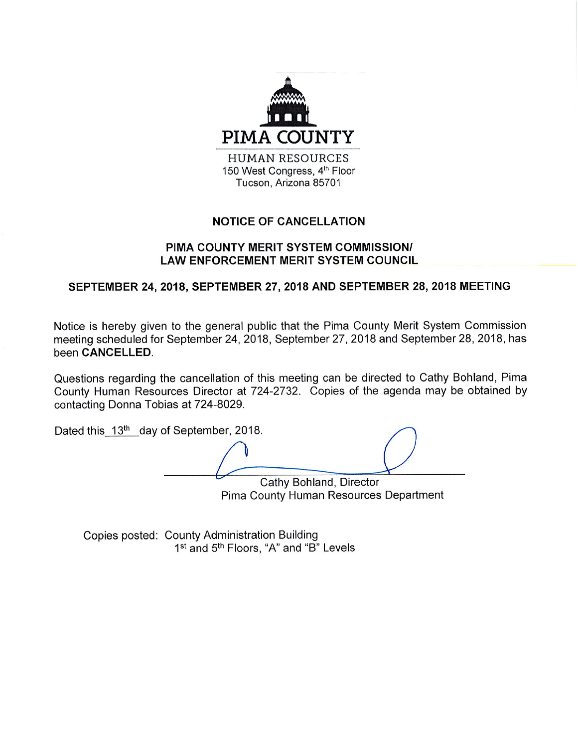

# **NOTICE OF CANCELLATION**

#### PIMA COUNTY MERIT SYSTEM COMMISSION/ **LAW ENFORCEMENT MERIT SYSTEM COUNCIL**

# SEPTEMBER 24, 2018, SEPTEMBER 27, 2018 AND SEPTEMBER 28, 2018 MEETING

Notice is hereby given to the general public that the Pima County Merit System Commission meeting scheduled for September 24, 2018, September 27, 2018 and September 28, 2018, has been CANCELLED.

Questions regarding the cancellation of this meeting can be directed to Cathy Bohland, Pima County Human Resources Director at 724-2732. Copies of the agenda may be obtained by contacting Donna Tobias at 724-8029.

Dated this 13<sup>th</sup> day of September, 2018.

Cathy Bohland, Director Pima County Human Resources Department

Copies posted: County Administration Building 1<sup>st</sup> and 5<sup>th</sup> Floors, "A" and "B" Levels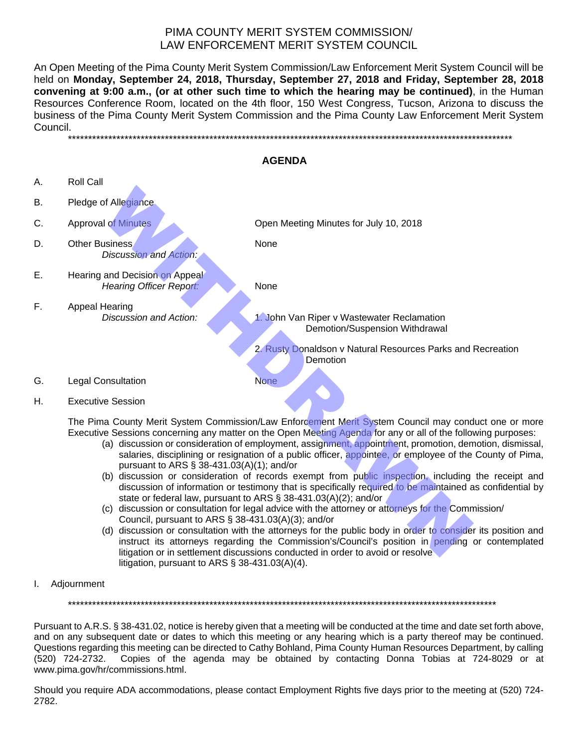### PIMA COUNTY MERIT SYSTEM COMMISSION/ LAW ENFORCEMENT MERIT SYSTEM COUNCIL

An Open Meeting of the Pima County Merit System Commission/Law Enforcement Merit System Council will be held on **Monday, September 24, 2018, Thursday, September 27, 2018 and Friday, September 28, 2018 convening at 9:00 a.m., (or at other such time to which the hearing may be continued)**, in the Human Resources Conference Room, located on the 4th floor, 150 West Congress, Tucson, Arizona to discuss the business of the Pima County Merit System Commission and the Pima County Law Enforcement Merit System Council. \*\*\*\*\*\*\*\*\*\*\*\*\*\*\*\*\*\*\*\*\*\*\*\*\*\*\*\*\*\*\*\*\*\*\*\*\*\*\*\*\*\*\*\*\*\*\*\*\*\*\*\*\*\*\*\*\*\*\*\*\*\*\*\*\*\*\*\*\*\*\*\*\*\*\*\*\*\*\*\*\*\*\*\*\*\*\*\*\*\*\*\*\*\*\*\*\*\*\*\*\*\*\*\*\*\*\*\*\*\*

| <b>AGENDA</b> |                                                                                                 |                                                                                                                                                                                                                                                                                                                                                                                                                                                                                                                                                                                                                                                                                                                                                                                                                                                                                                                                                                                                                                                                                                                                              |  |
|---------------|-------------------------------------------------------------------------------------------------|----------------------------------------------------------------------------------------------------------------------------------------------------------------------------------------------------------------------------------------------------------------------------------------------------------------------------------------------------------------------------------------------------------------------------------------------------------------------------------------------------------------------------------------------------------------------------------------------------------------------------------------------------------------------------------------------------------------------------------------------------------------------------------------------------------------------------------------------------------------------------------------------------------------------------------------------------------------------------------------------------------------------------------------------------------------------------------------------------------------------------------------------|--|
| А.            | <b>Roll Call</b>                                                                                |                                                                                                                                                                                                                                                                                                                                                                                                                                                                                                                                                                                                                                                                                                                                                                                                                                                                                                                                                                                                                                                                                                                                              |  |
| В.            | Pledge of Allegiance.                                                                           |                                                                                                                                                                                                                                                                                                                                                                                                                                                                                                                                                                                                                                                                                                                                                                                                                                                                                                                                                                                                                                                                                                                                              |  |
| C.            | <b>Approval of Minutes</b>                                                                      | Open Meeting Minutes for July 10, 2018                                                                                                                                                                                                                                                                                                                                                                                                                                                                                                                                                                                                                                                                                                                                                                                                                                                                                                                                                                                                                                                                                                       |  |
| D.            | <b>Other Business</b><br>Discussion and Action:                                                 | None                                                                                                                                                                                                                                                                                                                                                                                                                                                                                                                                                                                                                                                                                                                                                                                                                                                                                                                                                                                                                                                                                                                                         |  |
| Ε.            | Hearing and Decision on Appeal<br><b>Hearing Officer Report:</b>                                | None                                                                                                                                                                                                                                                                                                                                                                                                                                                                                                                                                                                                                                                                                                                                                                                                                                                                                                                                                                                                                                                                                                                                         |  |
| F.            | <b>Appeal Hearing</b><br>Discussion and Action:                                                 | 1. John Van Riper v Wastewater Reclamation<br>Demotion/Suspension Withdrawal                                                                                                                                                                                                                                                                                                                                                                                                                                                                                                                                                                                                                                                                                                                                                                                                                                                                                                                                                                                                                                                                 |  |
|               |                                                                                                 | 2. Rusty Donaldson v Natural Resources Parks and Recreation<br>Demotion                                                                                                                                                                                                                                                                                                                                                                                                                                                                                                                                                                                                                                                                                                                                                                                                                                                                                                                                                                                                                                                                      |  |
| G.            | <b>Legal Consultation</b>                                                                       | <b>None</b>                                                                                                                                                                                                                                                                                                                                                                                                                                                                                                                                                                                                                                                                                                                                                                                                                                                                                                                                                                                                                                                                                                                                  |  |
| Η.            | <b>Executive Session</b>                                                                        |                                                                                                                                                                                                                                                                                                                                                                                                                                                                                                                                                                                                                                                                                                                                                                                                                                                                                                                                                                                                                                                                                                                                              |  |
|               | pursuant to ARS § 38-431.03(A)(1); and/or<br>Council, pursuant to ARS § 38-431.03(A)(3); and/or | The Pima County Merit System Commission/Law Enforcement Merit System Council may conduct one or more<br>Executive Sessions concerning any matter on the Open Meeting Agenda for any or all of the following purposes:<br>(a) discussion or consideration of employment, assignment, appointment, promotion, demotion, dismissal,<br>salaries, disciplining or resignation of a public officer, appointee, or employee of the County of Pima,<br>(b) discussion or consideration of records exempt from public inspection, including the receipt and<br>discussion of information or testimony that is specifically required to be maintained as confidential by<br>state or federal law, pursuant to ARS § 38-431.03(A)(2); and/or<br>(c) discussion or consultation for legal advice with the attorney or attorneys for the Commission/<br>(d) discussion or consultation with the attorneys for the public body in order to consider its position and<br>instruct its attorneys regarding the Commission's/Council's position in pending or contemplated<br>litigation or in settlement discussions conducted in order to avoid or resolve |  |

- pursuant to ARS § 38-431.03(A)(1); and/or
- (b) discussion or consideration of records exempt from public inspection, including the receipt and discussion of information or testimony that is specifically required to be maintained as confidential by state or federal law, pursuant to ARS § 38-431.03(A)(2); and/or
- (c) discussion or consultation for legal advice with the attorney or attorneys for the Commission/ Council, pursuant to ARS § 38-431.03(A)(3); and/or
- (d) discussion or consultation with the attorneys for the public body in order to consider its position and instruct its attorneys regarding the Commission's/Council's position in pending or contemplated litigation or in settlement discussions conducted in order to avoid or resolve litigation, pursuant to ARS § 38-431.03(A)(4).
- I. Adjournment

\*\*\*\*\*\*\*\*\*\*\*\*\*\*\*\*\*\*\*\*\*\*\*\*\*\*\*\*\*\*\*\*\*\*\*\*\*\*\*\*\*\*\*\*\*\*\*\*\*\*\*\*\*\*\*\*\*\*\*\*\*\*\*\*\*\*\*\*\*\*\*\*\*\*\*\*\*\*\*\*\*\*\*\*\*\*\*\*\*\*\*\*\*\*\*\*\*\*\*\*\*\*\*\*\*\*

Pursuant to A.R.S. § 38-431.02, notice is hereby given that a meeting will be conducted at the time and date set forth above, and on any subsequent date or dates to which this meeting or any hearing which is a party thereof may be continued. Questions regarding this meeting can be directed to Cathy Bohland, Pima County Human Resources Department, by calling (520) 724-2732. Copies of the agenda may be obtained by contacting Donna Tobias at 724-8029 or at www.pima.gov/hr/commissions.html.

Should you require ADA accommodations, please contact Employment Rights five days prior to the meeting at (520) 724- 2782.